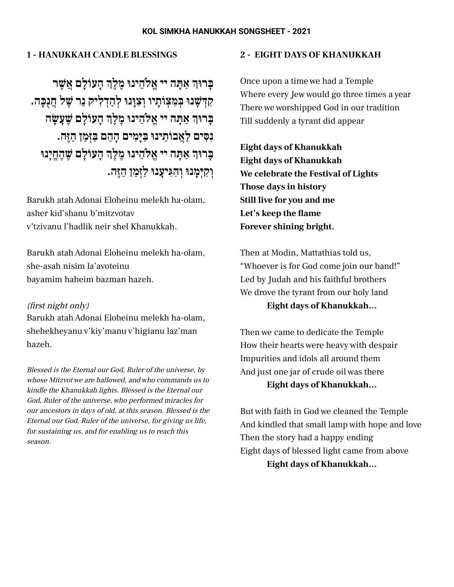#### **KOL SIMKHA HANUKKAH SONGSHEET - 2021**

# **1 - HANUKKAH CANDLE BLESSINGS**

**ָהעוֹ ָלם ֲאשֶׁשׁר ַא ָּתה יי ֱאלֵֹהינוּ ֶמ ֶלךְ ָּברוּךְ ִק ְ ּדשׁ ָשׁנוּ ְּב ִמ ְצ ֹו ָתיו ְו ִצָוּנוּ ְל ַה ְד ִליק ֵנר שֶׁשׁל ֲחֻנ ָּכה. ָהעוֹ ָלם שֶׁשָׁע ָשׂה ַא ָּתה יי ֱאלֵֹהינוּ ֶמ ֶלךְ ָּברוּךְ ִנ ִּסים ַלֲאבוֹ ֵתינוּ ַּב ּיָ ִמים ָה ֵהם ַּב ְזּ ַמן ַהֶזּה. ָהעוֹ ָלם שֶׁשׁ ֶה ֱחיָנוּ ַא ָּתה יי ֱאלֵֹהינוּ ֶמ ֶלךְ ָּברוּךְ ְו ִק ְּי ָמנוּ ְו ִה ִּגיָענוּ ַלְזּ ַמן ַהֶזּה.**

Barukh atahAdonai Eloheinu melekh ha-olam, asher kid'shanu b'mitzvotav v'tzivanu l'hadlik neir shel Khanukkah.

Barukh atahAdonai Eloheinu melekh ha-olam, she-asah nisim la'avoteinu bayamim haheim bazman hazeh.

#### (first night only)

Barukh atahAdonai Eloheinu melekh ha-olam, shehekheyanu v'kiy'manu v'higianu laz'man hazeh.

Blessed is the Eternal our God, Ruler of the universe, by whose Mitzvot we are hallowed, and who commands us to kindle the Khanukkah lights. Blessed is the Eternal our God, Ruler of the universe, who performed miracles for our ancestors in days of old, at this season. Blessed is the Eternal our God, Ruler of the universe, for giving us life, for sustaining us, and for enabling us to reach this season.

### **2 - EIGHT DAYS OF KHANUKKAH**

Once upon a time we had a Temple Where every Jew would go three times a year There we worshipped God in our tradition Till suddenly a tyrant did appear

**Eight days of Khanukkah Eight days of Khanukkah We celebrate the Festival of Lights Those days in history Still live for you and me Let's keep the flame Forever shining bright.**

Then at Modin, Mattathias told us, "Whoever is for God come join our band!" Led by Judah and his faithful brothers We drove the tyrant from our holy land **Eight days of Khanukkah…**

Then we came to dedicate the Temple How their hearts were heavy with despair Impurities and idols all around them And just one jar of crude oil was there **Eight days of Khanukkah…**

But with faith in God we cleaned the Temple And kindled that small lamp with hope and love Then the story had a happy ending Eight days of blessed light came from above **Eight days of Khanukkah…**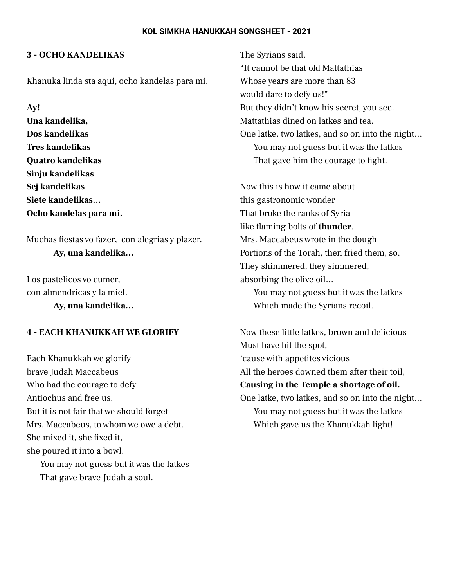#### **KOL SIMKHA HANUKKAH SONGSHEET - 2021**

## **3 - OCHO KANDELIKAS**

Khanuka linda sta aqui, ocho kandelas para mi.

**Ay!**

**Una kandelika, Dos kandelikas Tres kandelikas Quatro kandelikas Sinju kandelikas Sej kandelikas Siete kandelikas… Ocho kandelas para mi.**

Muchas fiestas vo fazer, con alegrias y plazer. **Ay, una kandelika…**

Los pastelicos vo cumer, con almendricas y la miel.

**Ay, una kandelika…**

## **4 - EACH KHANUKKAH WE GLORIFY**

Each Khanukkah we glorify brave Judah Maccabeus Who had the courage to defy Antiochus and free us. But it is not fair that we should forget Mrs. Maccabeus, to whom we owe a debt. She mixed it, she fixed it, she poured it into a bowl. You may not guess but it was the latkes That gave brave Judah a soul.

The Syrians said, "It cannot be that old Mattathias Whose years are more than 83 would dare to defy us!" But they didn't know his secret, you see. Mattathias dined on latkes and tea. One latke, two latkes, and so on into the night… You may not guess but it was the latkes That gave him the courage to fight.

Now this is how it came about this gastronomic wonder That broke the ranks of Syria like flaming bolts of **thunder**. Mrs. Maccabeus wrote in the dough Portions of the Torah, then fried them, so. They shimmered, they simmered, absorbing the olive oil… You may not guess but it was the latkes Which made the Syrians recoil.

Now these little latkes, brown and delicious Must have hit the spot, 'cause with appetites vicious All the heroes downed them after their toil, **Causing in the Temple a shortage of oil.** One latke, two latkes, and so on into the night… You may not guess but it was the latkes Which gave us the Khanukkah light!